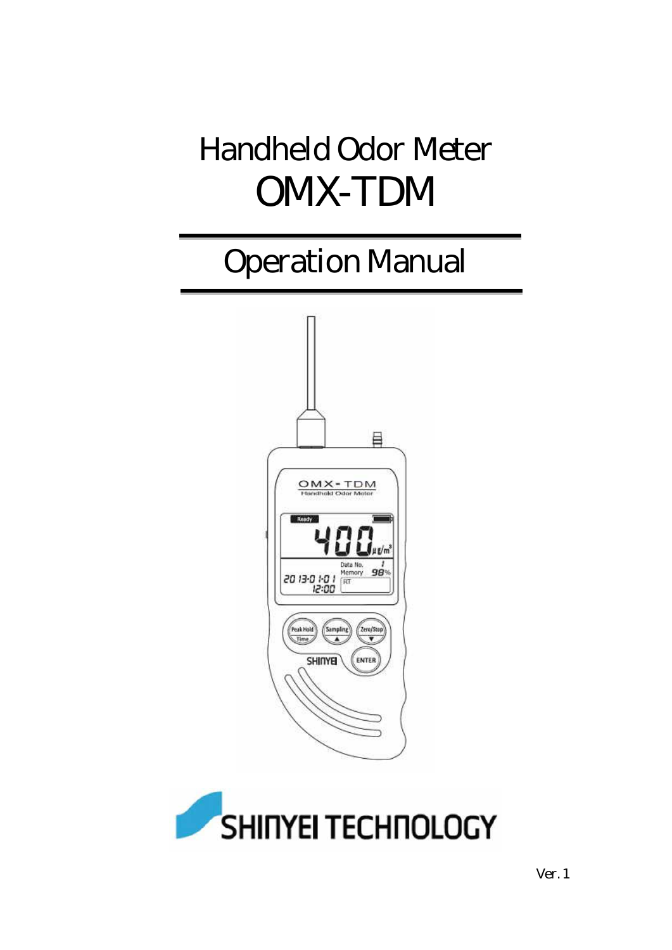# Handheld Odor Meter OMX-TDM

## Operation Manual



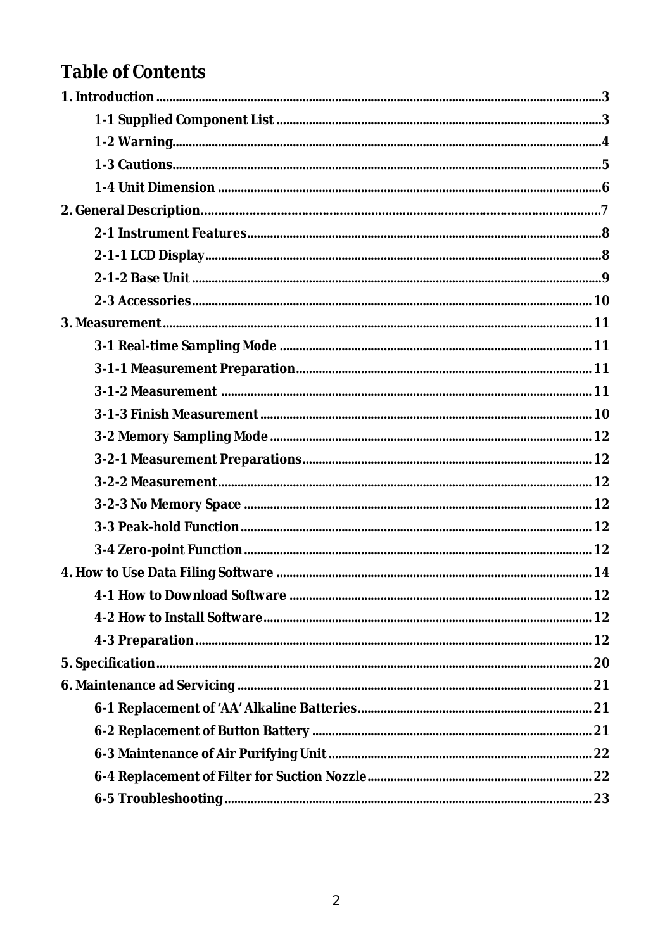## **Table of Contents**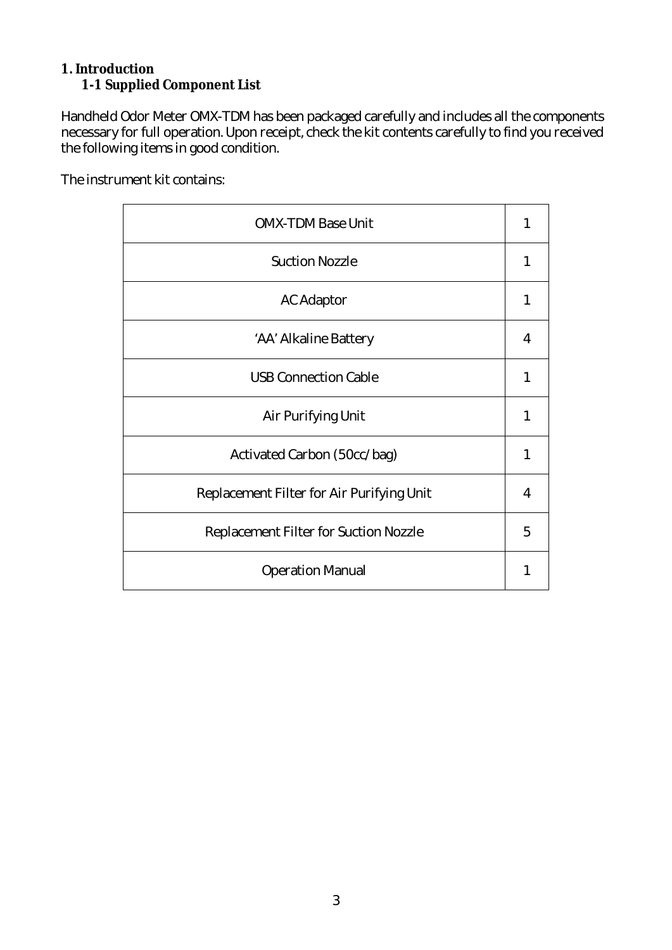#### **1. Introduction 1-1 Supplied Component List**

Handheld Odor Meter OMX-TDM has been packaged carefully and includes all the components necessary for full operation. Upon receipt, check the kit contents carefully to find you received the following items in good condition.

The instrument kit contains:

| <b>OMX-TDM Base Unit</b>                  | 1 |
|-------------------------------------------|---|
| <b>Suction Nozzle</b>                     | 1 |
| AC Adaptor                                | 1 |
| AA Alkaline Battery                       | 4 |
| <b>USB Connection Cable</b>               | 1 |
| Air Purifying Unit                        |   |
| Activated Carbon (50cc/bag)               | 1 |
| Replacement Filter for Air Purifying Unit | 4 |
| Replacement Filter for Suction Nozzle     | 5 |
| <b>Operation Manual</b>                   |   |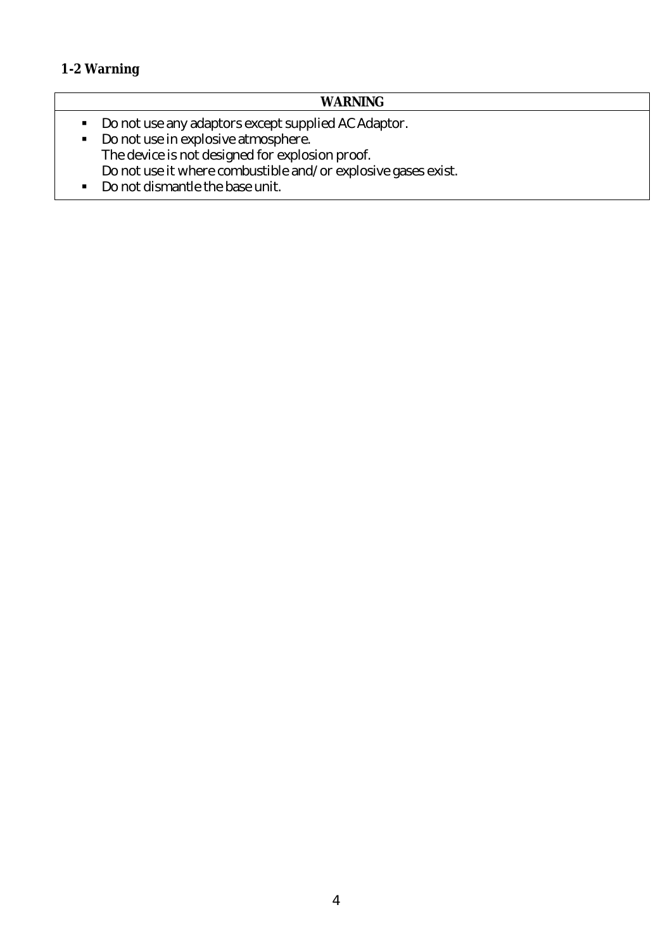#### **1-2 Warning**

### **WARNING**

- Do not use any adaptors except supplied AC Adaptor.
- Do not use in explosive atmosphere. The device is not designed for explosion proof. Do not use it where combustible and/or explosive gases exist.
- Do not dismantle the base unit.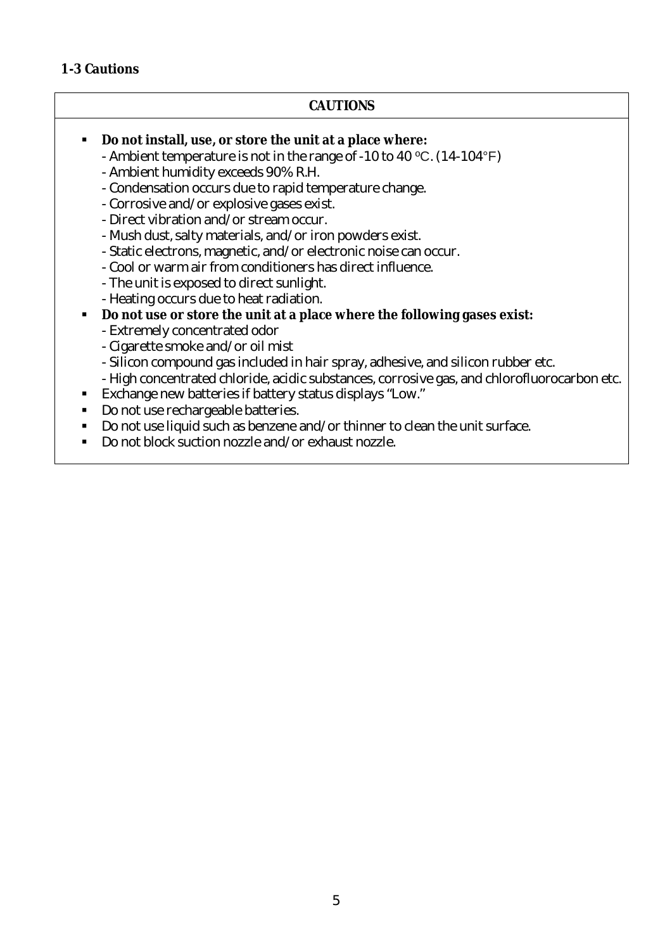#### **1-3 Cautions**

#### **CAUTIONS**

- **Do not install, use, or store the unit at a place where:**
	- Ambient temperature is not in the range of -10 to 40 °C. (14-104°F)
	- Ambient humidity exceeds 90% R.H.
	- Condensation occurs due to rapid temperature change.
	- Corrosive and/or explosive gases exist.
	- -Direct vibration and/or streamoccur.
	- Mush dust, salty materials, and/or iron powders exist.
	- Static electrons, magnetic, and/or electronic noise can occur.
	- -Cool or warmair fromconditionershasdirectinfluence.
	- The unit is exposed to direct sunlight.
	- Heating occurs due to heat radiation.
- **Do not use or store the unit at a place where the following gases exist:**
	- -Extremely concentrated odor
	- Cigarette smoke and/or oil mist
	- Silicon compound gas included in hair spray, adhesive, and silicon rubber etc.
	- High concentrated chloride, acidic substances, corrosive gas, and chlorofluorocarbon etc.
- Exchangenew batteries if battery statusdisplays "Low."
- Do not use rechargeable batteries.
- Do not use liquid such as benzene and/or thinner to clean the unit surface.
- Do not block suction nozzle and/or exhaust nozzle.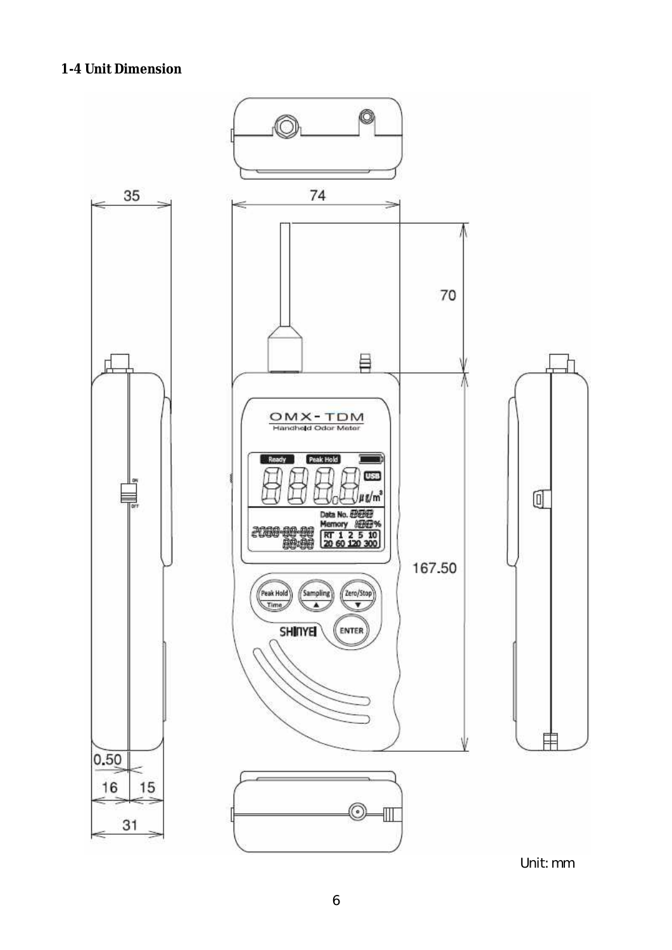#### **1-4 Unit Dimension**



Unit:mm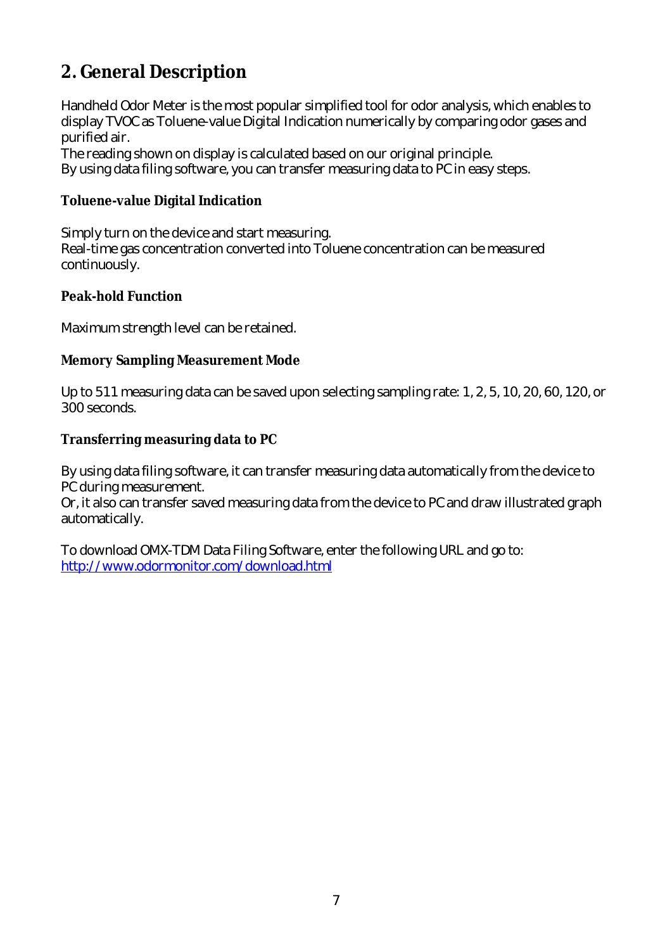## **2. General Description**

Handheld Odor Meter is themost popular simplified tool for odor analysis,which enables to display TVOC as Toluene-value Digital Indication numerically by comparing odor gases and purified air.

The reading shown on display is calculated based on our original principle. By using data filing software, you can transfer measuring data to PC in easy steps.

#### **Toluene-value Digital Indication**

Simply turn on the device and start measuring. Real-time gas concentration converted into Toluene concentration can be measured continuously.

#### **Peak-hold Function**

Maximum strength level can be retained.

#### **Memory Sampling Measurement Mode**

Up to 511 measuring data can be saved upon selecting sampling rate: 1, 2, 5, 10, 20, 60, 120, or 300 seconds.

#### **Transferring measuring data to PC**

By using data filing software, it can transfer measuring data automatically from the device to PC during measurement.

Or, it also can transfer saved measuring data from the device to PC and draw illustrated graph automatically.

To download OMX-TDM Data Filing Software, enter the following URL and go to: http://www.odormonitor.com/download.html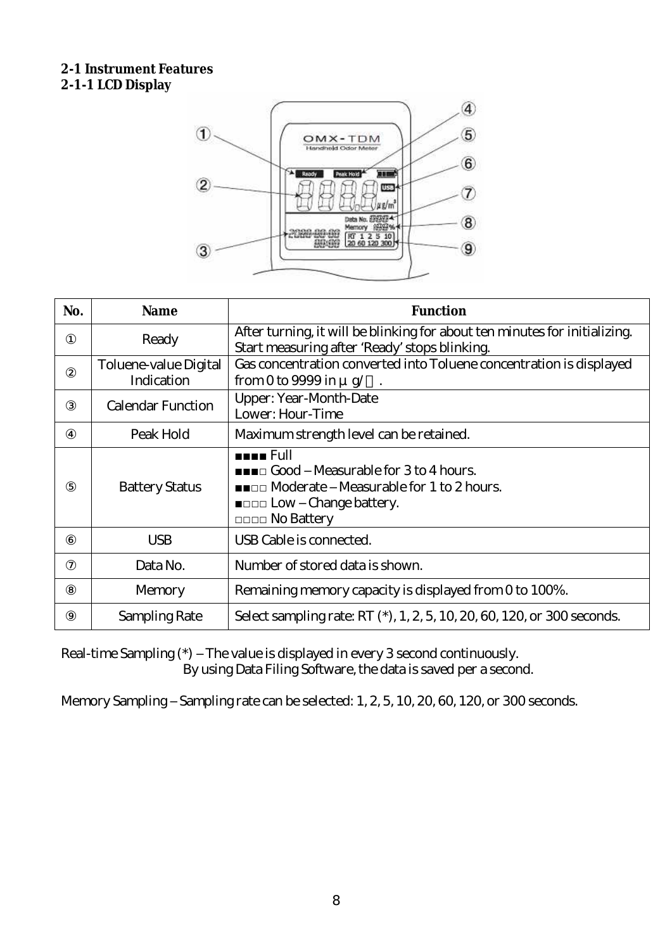#### **2-1 Instrument Features 2-1-1 LCD Display**



| No. | <b>Name</b>                         | <b>Function</b>                                                                                                                                                                                  |
|-----|-------------------------------------|--------------------------------------------------------------------------------------------------------------------------------------------------------------------------------------------------|
|     | Ready                               | After turning, it will be blinking for about ten minutes for initializing.<br>Start measuring after Ready stops blinking.                                                                        |
|     | Toluene-value Digital<br>Indication | Gas concentration converted into Toluene concentration is displayed<br>from 0 to 9999 in $\mu$ g/                                                                                                |
|     | <b>Calendar Function</b>            | Upper: Year-Month-Date<br>Lower: Hour-Time                                                                                                                                                       |
|     | Peak Hold                           | Maximum strength level can be retained.                                                                                                                                                          |
|     | <b>Battery Status</b>               | <b>HEER</b> Full<br><b>INCORDIAL EXAMPLE IN STATE IN A SOCIAL METAL</b> Sto 4 hours.<br><b>EXAMPLE Measurable for 1 to 2 hours.</b><br><b>EDDD Low Change battery.</b><br><b>DODD No Battery</b> |
|     | <b>USB</b>                          | USB Cable is connected.                                                                                                                                                                          |
|     | Data No.                            | Number of stored data is shown.                                                                                                                                                                  |
|     | Memory                              | Remaining memory capacity is displayed from 0 to 100%.                                                                                                                                           |
|     | Sampling Rate                       | Select sampling rate: RT (*), 1, 2, 5, 10, 20, 60, 120, or 300 seconds.                                                                                                                          |

Real-time Sampling (\*) The value is displayed in every 3 second continuously. By using Data Filing Software, the data is saved per a second.

Memory Sampling Sampling rate can be selected: 1, 2, 5, 10, 20, 60, 120, or 300 seconds.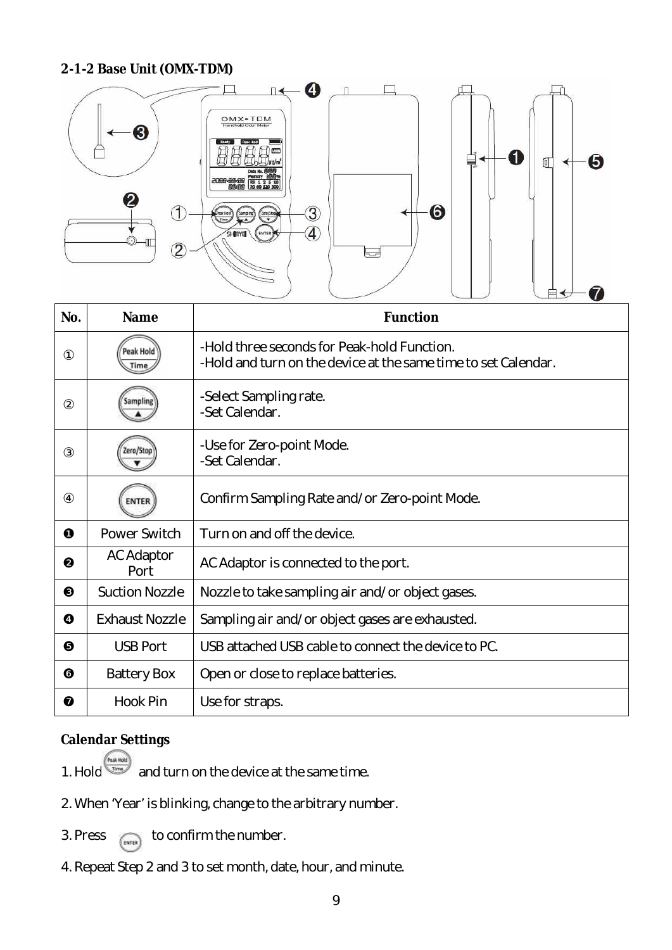#### **2-1-2 Base Unit (OMX-TDM)**



| No. | <b>Name</b>               | <b>Function</b>                                                                                               |
|-----|---------------------------|---------------------------------------------------------------------------------------------------------------|
|     | Peak Hol                  | -Hold three seconds for Peak-hold Function.<br>-Hold and turn on the device at the same time to set Calendar. |
|     |                           | -Select Sampling rate.<br>-Set Calendar.                                                                      |
|     |                           | -Use for Zero-point Mode.<br>-Set Calendar.                                                                   |
|     | <b>ENTER</b>              | Confirm Sampling Rate and/or Zero-point Mode.                                                                 |
|     | Power Switch              | Turn on and off the device.                                                                                   |
|     | <b>AC Adaptor</b><br>Port | AC Adaptor is connected to the port.                                                                          |
|     | <b>Suction Nozzle</b>     | Nozzle to take sampling air and/or object gases.                                                              |
|     | <b>Exhaust Nozzle</b>     | Sampling air and/or object gases are exhausted.                                                               |
|     | <b>USB Port</b>           | USB attached USB cable to connect the device to PC.                                                           |
|     | <b>Battery Box</b>        | Open or close to replace batteries.                                                                           |
|     | Hook Pin                  | Use for straps.                                                                                               |

#### **Calendar Settings**

- 1. Hold **AN ARRY 2018** and turn on the device at the same time.
- 2. When Year is blinking, change to the arbitrary number.
- 3. Press  $_{\text{(syst)}}$  to confirm the number.
- 4. Repeat Step 2 and 3 to set month, date, hour, and minute.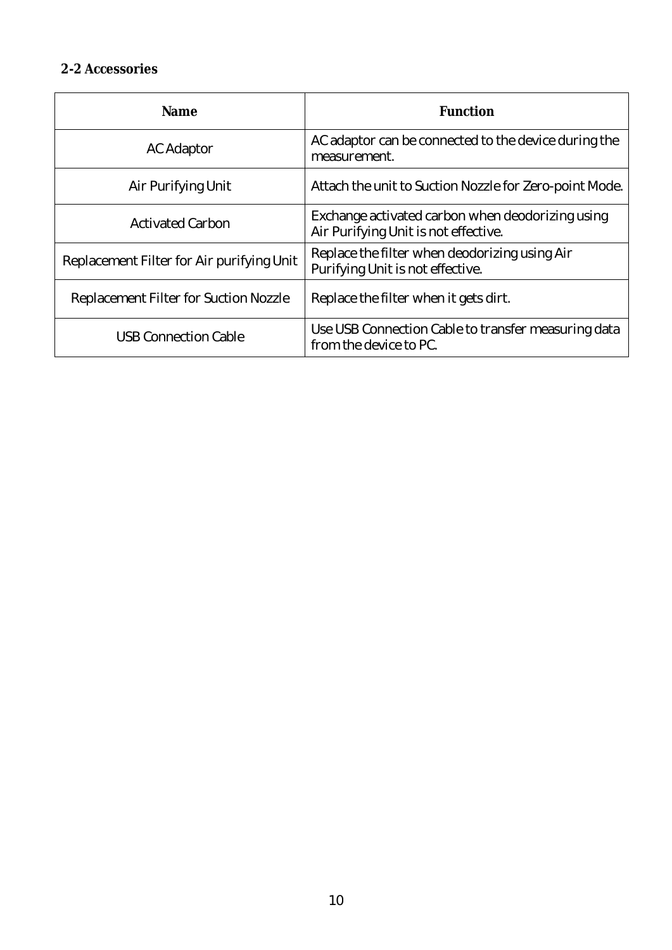#### **2-2 Accessories**

| Name                                      | Function                                                                                 |
|-------------------------------------------|------------------------------------------------------------------------------------------|
| AC Adaptor                                | AC adaptor can be connected to the device during the<br>measurement.                     |
| Air Purifying Unit                        | Attach the unit to Suction Nozzle for Zero-point Mode.                                   |
| <b>Activated Carbon</b>                   | Exchange activated carbon when deodorizing using<br>Air Purifying Unit is not effective. |
| Replacement Filter for Air purifying Unit | Replace the filter when deodorizing using Air<br>Purifying Unit is not effective.        |
| Replacement Filter for Suction Nozzle     | Replace the filter when it gets dirt.                                                    |
| <b>USB Connection Cable</b>               | Use USB Connection Cable to transfer measuring data<br>from the device to PC.            |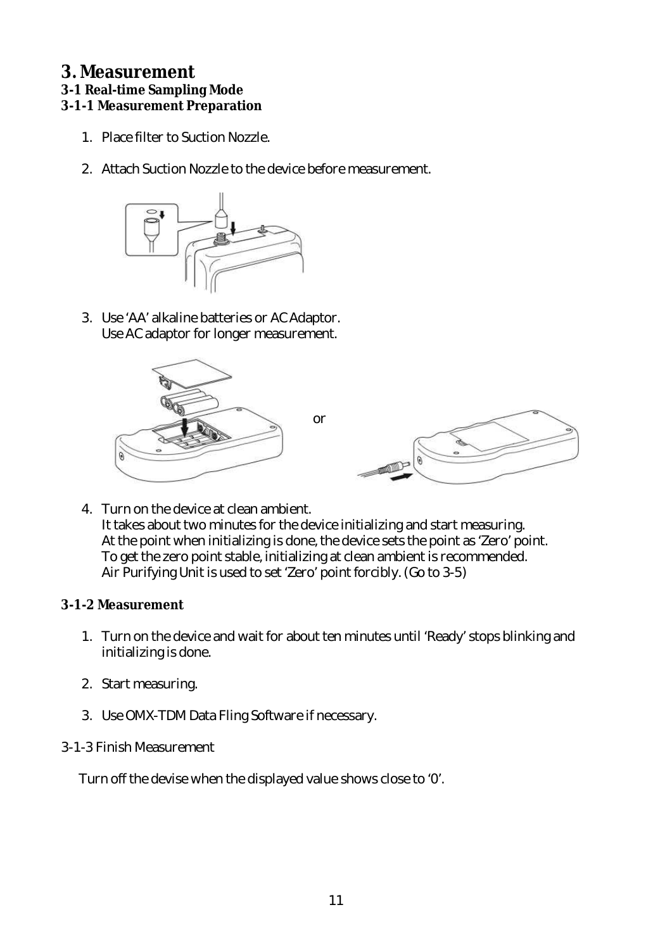#### **3. Measurement**

#### **3-1 Real-time Sampling Mode**

#### **3-1-1 Measurement Preparation**

- 1. Placefilter to Suction Nozzle.
- 2. Attach Suction Nozzle to the device before measurement.



3. Use AA alkalinebatteriesor ACAdaptor. UseACadaptor for longer measurement.



4. Turnon thedeviceat clean ambient. It takes about two minutes for the device initializing and start measuring. At the point when initializing is done, the device sets the point as Zero point. To get the zero point stable, initializing at clean ambient is recommended. Air Purifying Unit is used to set Zero point forcibly. (Go to 3-5)

#### **3-1-2 Measurement**

- 1. Turn on the device and wait for about ten minutes until Ready stops blinking and initializingisdone.
- 2. Start measuring.
- 3. Use OMX-TDM Data Fling Software if necessary.

#### 3-1-3 Finish Measurement

Turn off the devise when the displayed value shows close to O.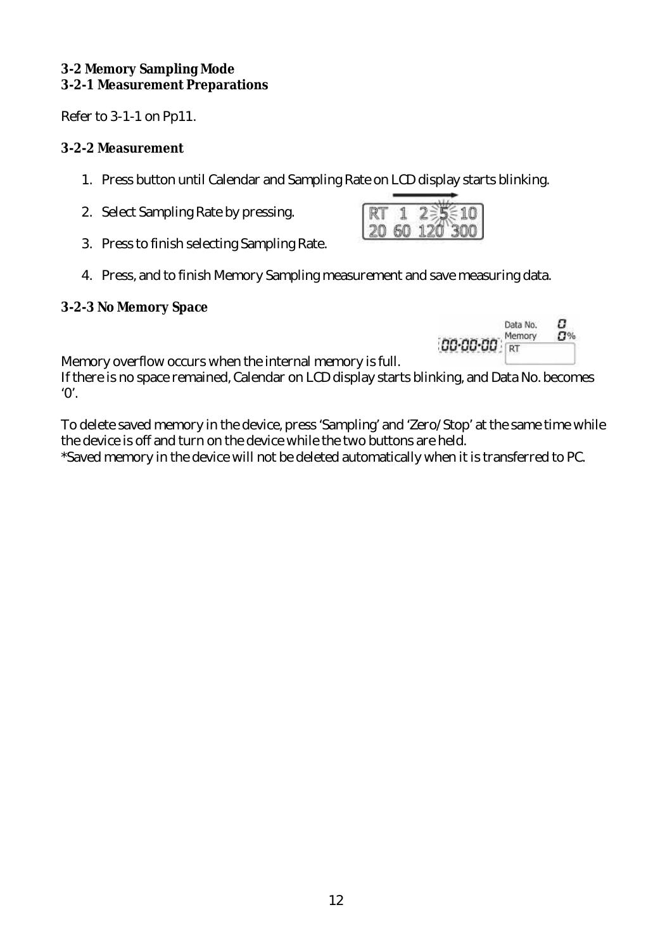#### **3-2 Memory Sampling Mode 3-2-1 Measurement Preparations**

Refer to 3-1-1 on Pp11.

#### **3-2-2 Measurement**

- 1. Press button until Calendar and Sampling Rate on LCD display starts blinking.
- 2. Select Sampling Rate by pressing.
- 3. Press to finish selecting Sampling Rate.
- 4. Press, and to finish Memory Sampling measurement and save measuring data.

#### **3-2-3 No Memory Space**



Memory overflow occurs when theinternal memory is full.

If there is no space remained, Calendar on LCD display starts blinking, and Data No. becomes  $O<sub>1</sub>$ 

To delete saved memory in the device, press Sampling and Zero/Stop at the same time while the device is off and turn on the device while the two buttons are held.

\*Saved memory in the device will not be deleted automatically when it is transferred to PC.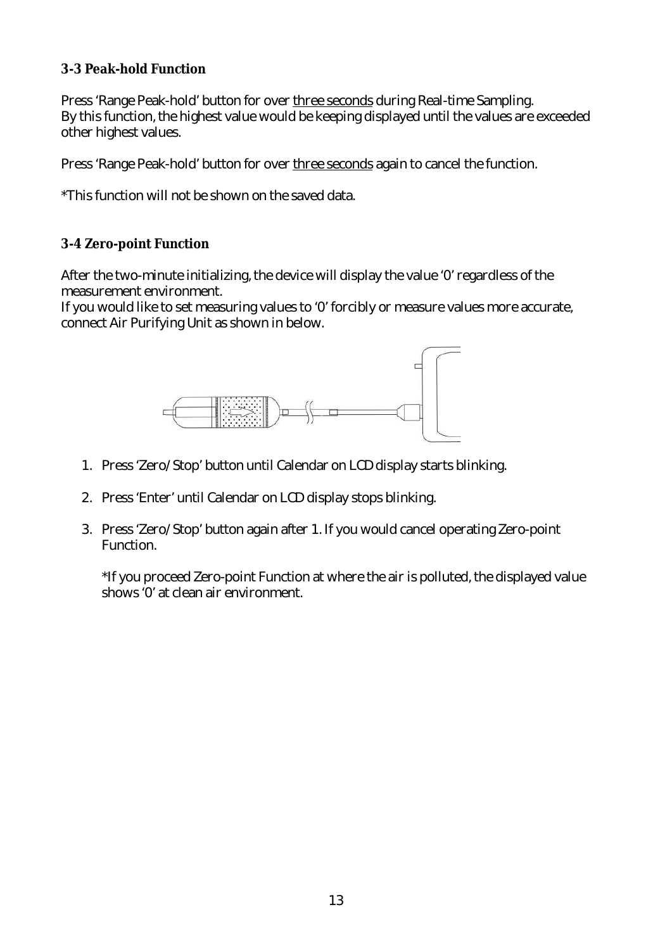#### **3-3 Peak-hold Function**

Press Range Peak-hold button for over three seconds during Real-time Sampling. By this function, the highest value would be keeping displayed until the values are exceeded other highest values.

Press Range Peak-hold button for over three seconds again to cancel the function.

\*This function will not beshown on thesaved data.

#### **3-4 Zero-point Function**

After the two-minute initializing, the device will display the value 0 regardless of the measurement environment.

If you would like to set measuring values to 0 forcibly or measure values more accurate, connect Air Purifying Unit as shown in below.



- 1. Press Zero/Stop button until Calendar on LCD display starts blinking.
- 2. Press Enter until Calendar on LCD display stops blinking.
- 3. Press Zero/Stop button again after 1. If you would cancel operating Zero-point Function.

\*If you proceed Zero-point Function at where the air is polluted, the displayed value shows 0 at clean air environment.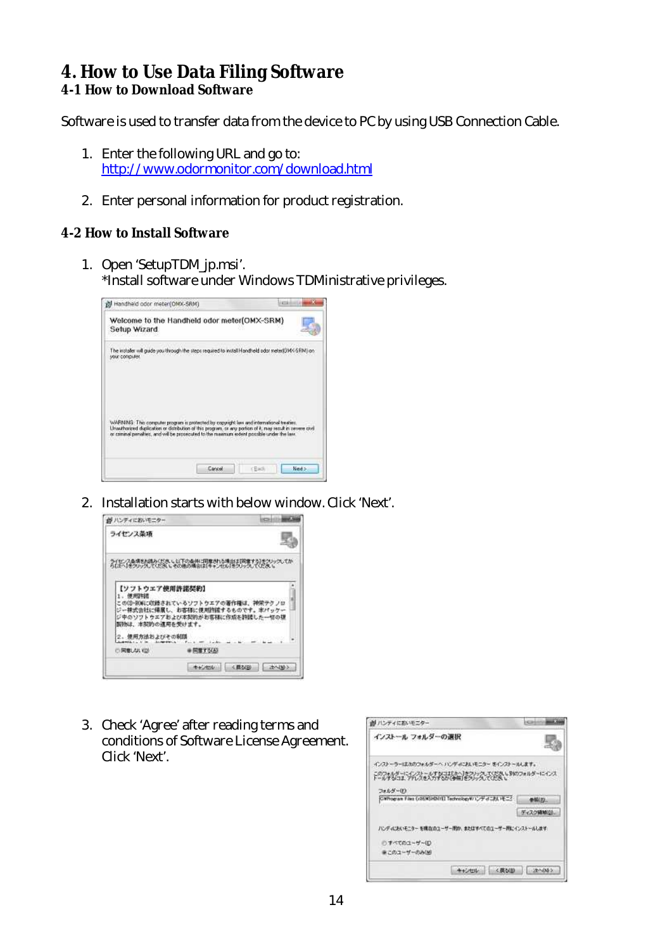#### **4. How to Use Data Filing Software 4-1 How to Download Software**

Software is used to transfer data from the device to PC by using USB Connection Cable.

- 1. Enter the following URL and go to: http://www.odormonitor.com/download.html
- 2. Enter personal information for product registration.

#### **4-2 How to Install Software**

1. Open SetupTDM jp.msi. \*Install software under Windows TDMinistrative privileges.

| Handheid odor meter(OMX-SRM)                                                                                                                                                                                                                                                                          |        | <b>Listed</b> |        |
|-------------------------------------------------------------------------------------------------------------------------------------------------------------------------------------------------------------------------------------------------------------------------------------------------------|--------|---------------|--------|
| Welcome to the Handheld odor meter(OMX-SRM)<br>Setup Wizard                                                                                                                                                                                                                                           |        |               |        |
| The installer will guide you through the steps required to install Handheld odor meter(OMX-SRM) on<br><b>VOUR CORROLABIL</b>                                                                                                                                                                          |        |               |        |
| WARNING: This computer program is protected by copyright leve and international treaties.<br>Linauthorized duplication or distribution of this program, or any portion of it, may result in zevere civil<br>or coming penalties, and will be prosecuted to the maximum extent possible under the law. |        |               |        |
|                                                                                                                                                                                                                                                                                                       | Cancel | cBad          | Next > |

2. Installation starts with below window.Click Next.



3. Check Agree after reading terms and conditions of Software License Agreement. Click Next.

| M パンティにおいモニター                                                                             | $15 - 20$   |
|-------------------------------------------------------------------------------------------|-------------|
| インストール フォルターの選択                                                                           |             |
| インストーラーはカのウォルダーへ バンディにおいモニター をインストールします。<br>このフォルダーについて、ストナなコエリトへ「ホワリック」でください。別のフォルダーにインス |             |
|                                                                                           |             |
| フォルダー(E)                                                                                  |             |
| CWhoman Files (x36/#SHD(rE) Technologyのリンティにおいモニク                                         | de Bill FO. |
|                                                                                           | ディスク機械(以上)  |
| ハンディにおいそニターを挑在のユーザー用か、またはすべてのユーザー用にインストールします。<br>□ すべてのユーザー(E)                            |             |
| まこのユーザーのみ(M)                                                                              |             |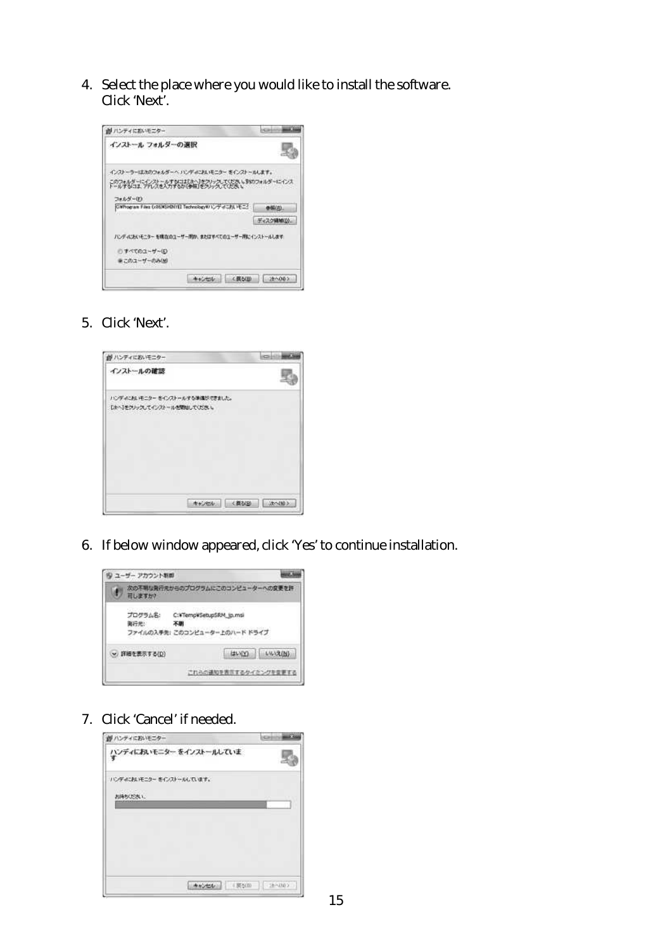4. Select the place where you would like to install the software. Click Next.



5. Click Next.



6. If below window appeared, click Yes to continue installation.



7. Click Cancel if needed.

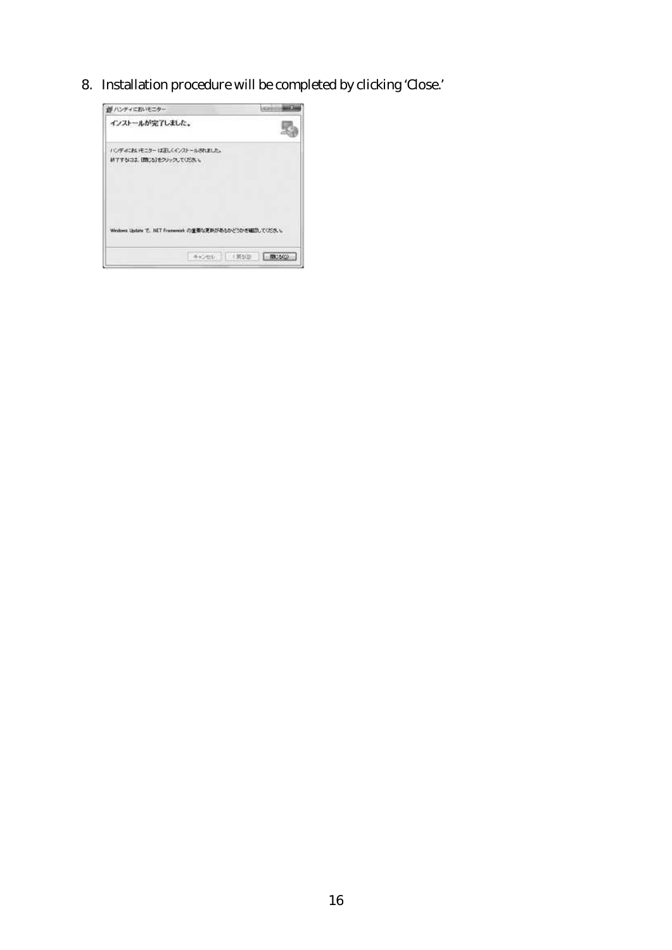8. Installation procedure will be completed by clicking Close.

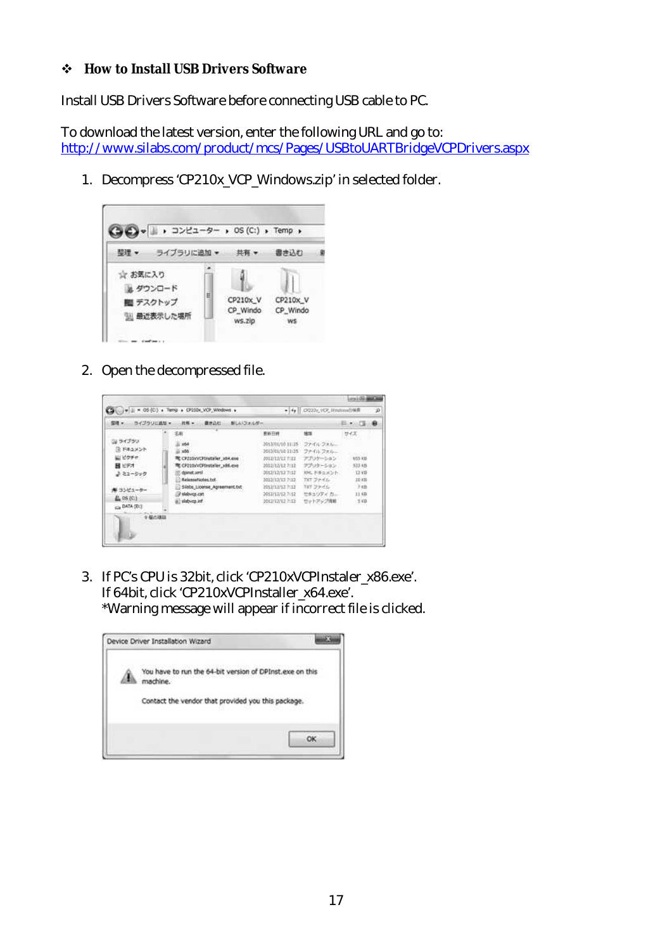#### **How to Install USB Drivers Software**

Install USB Drivers Software before connecting USB cable to PC.

To download the latest version, enter the following URL and go to: http://www.silabs.com/product/mcs/Pages/USBtoUARTBridgeVCPDrivers.aspx

1. Decompress CP210x VCP Windows.zip in selected folder.



2. Open the decompressed file.



3. If PCsCPU is 32bit, dick CP210xVCPInstaler\_x86.exe. If 64bit, dick CP210xVCPInstaller\_x64.exe. \*Warning message will appear if incorrect file is dicked.

|  | Device Driver Installation Wizard                                    |  |
|--|----------------------------------------------------------------------|--|
|  | You have to run the 64-bit version of DPInst.exe on this<br>machine. |  |
|  | Contact the vendor that provided you this package.                   |  |
|  | oк                                                                   |  |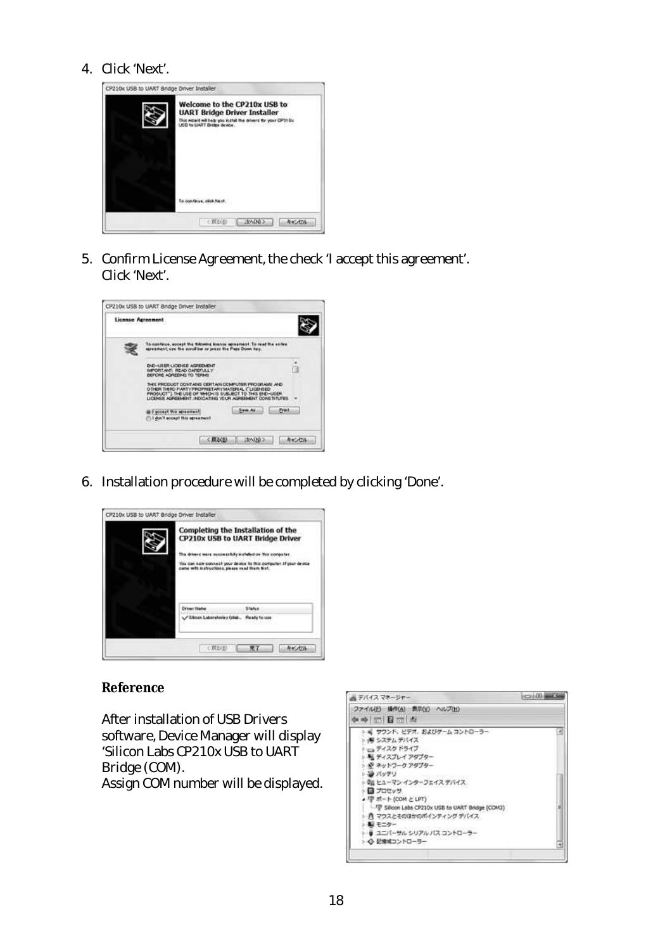#### 4. Click Next.



5. Confirm License Agreement, the check I accept this agreement. Click Next.



6. Installation procedure will be completed by clicking Done.



#### **Reference**

After installation of USB Drivers software, Device Manager will display Silicon Labs CP210x USB to UART Bridge(COM). Assign COM number will be displayed.

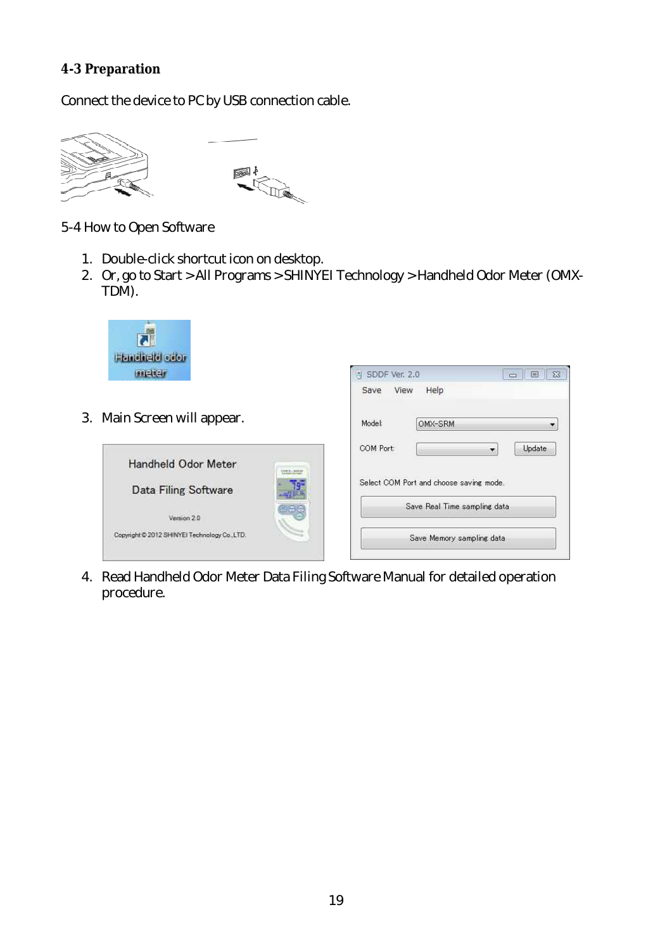#### **4-3 Preparation**

Connect the device to PC by USB connection cable.





5-4 How to Open Software

- 1. Double-click shortcuticon on desktop.
- 2. Or, go to Start > All Programs > SHINYEI Technology > Handheld Odor Meter (OMX-TDM).

SDDF Ver. 2.0 Save View

Help



3. Main Screen will appear.



4. Read Handheld Odor Meter Data Filing Software Manual for detailed operation procedure.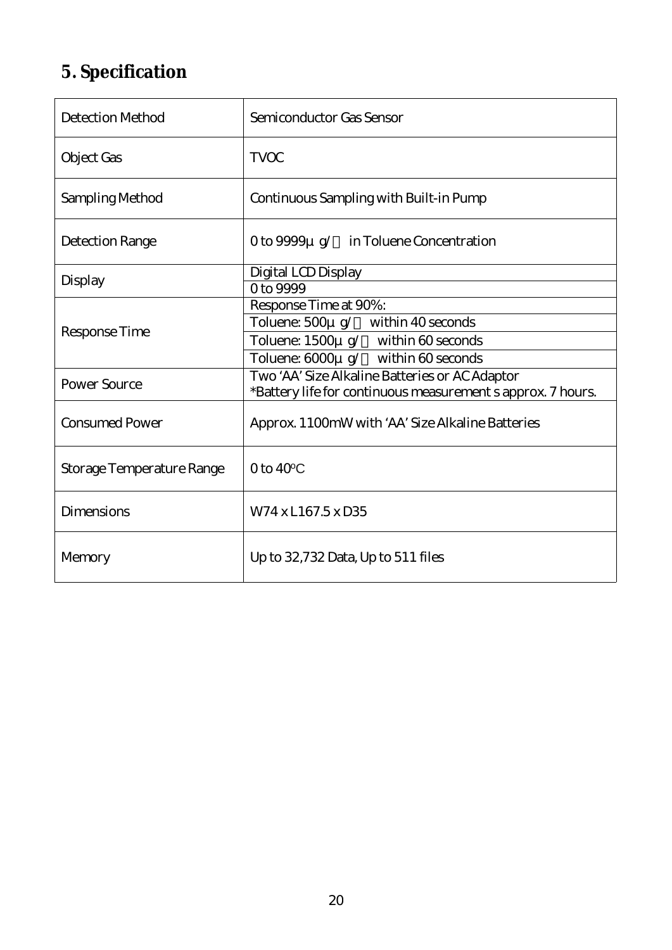## **5. Specification**

| <b>Detection Method</b>   | Semiconductor Gas Sensor                                    |  |
|---------------------------|-------------------------------------------------------------|--|
| Object Gas                | <b>TVOC</b>                                                 |  |
| Sampling Method           | Continuous Sampling with Built-in Pump                      |  |
| Detection Range           | O to 9999µ q/ in Toluene Concentration                      |  |
| Display                   | Digital LCD Display                                         |  |
|                           | 0 to 9999                                                   |  |
|                           | Response Time at 90%:                                       |  |
| Response Time             | Toluene: 500µ g/ within 40 seconds                          |  |
|                           | Toluene: 1500µ g/ within 60 seconds                         |  |
|                           | Toluene: 6000µ g/ within 60 seconds                         |  |
| Power Source              | Two AA Size Alkaline Batteries or AC Adaptor                |  |
|                           | *Battery life for continuous measurement s approx. 7 hours. |  |
| <b>Consumed Power</b>     | Approx. 1100mW with AA Size Alkaline Batteries              |  |
| Storage Temperature Range | $0$ to $40^{\circ}$ C                                       |  |
| <b>Dimensions</b>         | W74 x L167.5 x D35                                          |  |
| Memory                    | Up to 32,732 Data, Up to 511 files                          |  |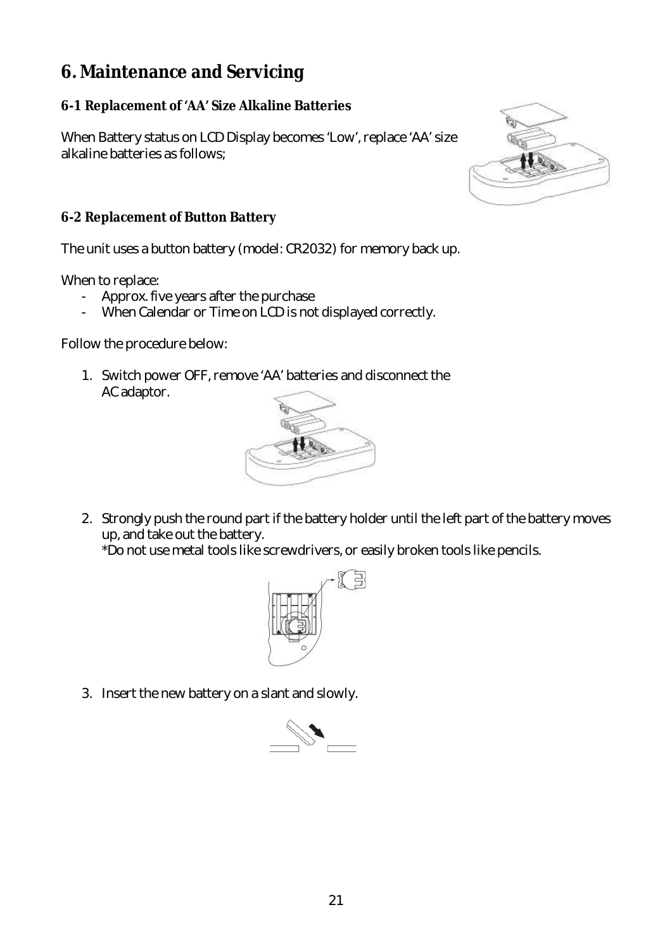## **6. Maintenance and Servicing**

#### **6-1 Replacement of 'AA' Size Alkaline Batteries**

When Battery status on LCD Display becomes Low, replace AA size alkaline batteries as follows;



#### **6-2 Replacement of Button Battery**

The unit uses a button battery (model: CR2032) for memory back up.

When to replace:

- Approx. five years after the purchase
- When Calendar or Time on LCD is not displayed correctly.

Follow the procedure below:

1. Switch power OFF, remove AA batteries and disconnect the AC adaptor.



2. Strongly push the round part if the battery holder until the left part of the battery moves up, and take out the battery.

\*Do not usemetal tools likescrewdrivers,or easily broken tools likepencils.



3. Insert the new battery on a slant and slowly.

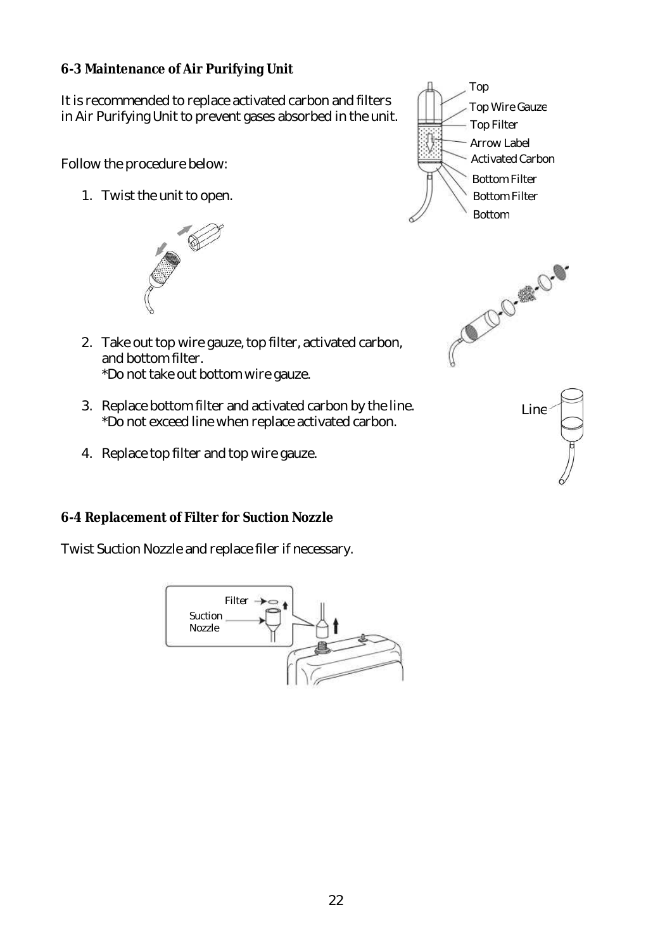#### **6-3 Maintenance of Air Purifying Unit**

It is recommended to replace activated carbon and filters in Air Purifying Unit to prevent gases absorbed in the unit.

Follow the procedure below:

1. Twist the unit to open.



- 2. Take out top wire gauze, top filter, activated carbon, and bottom filter. \*Do not take out bottom wire gauze.
- 3. Replace bottom filter and activated carbon by the line. \*Do not exceed linewhen replaceactivated carbon.
- 4. Replace top filter and top wire gauze.

#### **6-4 Replacement of Filter for Suction Nozzle**

Twist Suction Nozzle and replace filer if necessary.